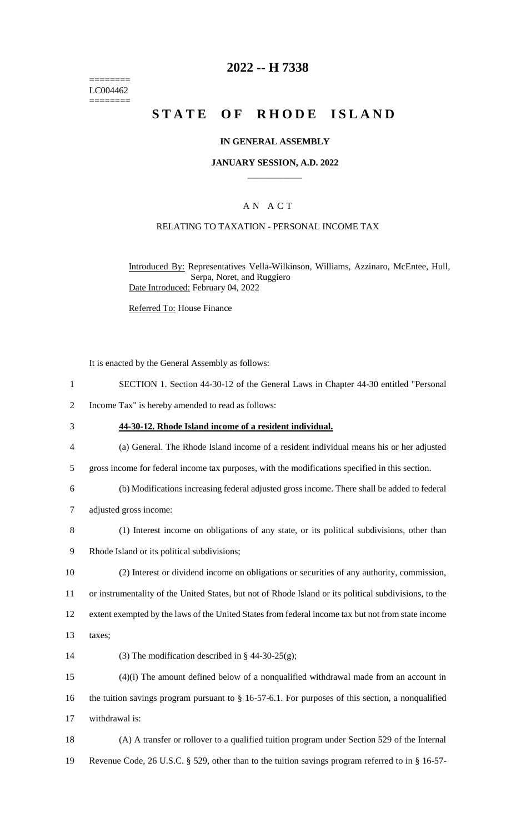======== LC004462 ========

## **2022 -- H 7338**

# **STATE OF RHODE ISLAND**

#### **IN GENERAL ASSEMBLY**

#### **JANUARY SESSION, A.D. 2022 \_\_\_\_\_\_\_\_\_\_\_\_**

### A N A C T

### RELATING TO TAXATION - PERSONAL INCOME TAX

Introduced By: Representatives Vella-Wilkinson, Williams, Azzinaro, McEntee, Hull, Serpa, Noret, and Ruggiero Date Introduced: February 04, 2022

Referred To: House Finance

It is enacted by the General Assembly as follows:

- 1 SECTION 1. Section 44-30-12 of the General Laws in Chapter 44-30 entitled "Personal
- 2 Income Tax" is hereby amended to read as follows:
- 3 **44-30-12. Rhode Island income of a resident individual.**
- 4 (a) General. The Rhode Island income of a resident individual means his or her adjusted
- 5 gross income for federal income tax purposes, with the modifications specified in this section.
- 6 (b) Modifications increasing federal adjusted gross income. There shall be added to federal
- 7 adjusted gross income:
- 8 (1) Interest income on obligations of any state, or its political subdivisions, other than
- 9 Rhode Island or its political subdivisions;
- 10 (2) Interest or dividend income on obligations or securities of any authority, commission, 11 or instrumentality of the United States, but not of Rhode Island or its political subdivisions, to the

12 extent exempted by the laws of the United States from federal income tax but not from state income

- 13 taxes;
- 14 (3) The modification described in  $\S$  44-30-25(g);

15 (4)(i) The amount defined below of a nonqualified withdrawal made from an account in 16 the tuition savings program pursuant to § 16-57-6.1. For purposes of this section, a nonqualified 17 withdrawal is:

18 (A) A transfer or rollover to a qualified tuition program under Section 529 of the Internal 19 Revenue Code, 26 U.S.C. § 529, other than to the tuition savings program referred to in § 16-57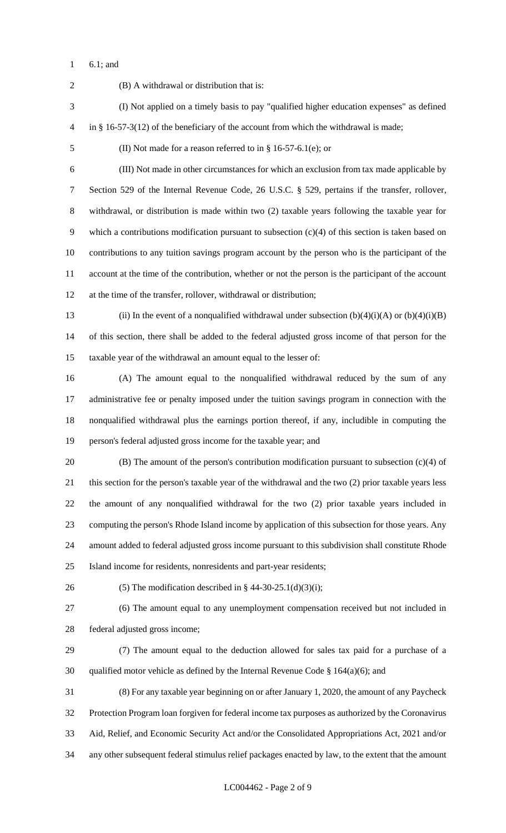6.1; and

 (B) A withdrawal or distribution that is: (I) Not applied on a timely basis to pay "qualified higher education expenses" as defined in § 16-57-3(12) of the beneficiary of the account from which the withdrawal is made; (II) Not made for a reason referred to in § 16-57-6.1(e); or (III) Not made in other circumstances for which an exclusion from tax made applicable by Section 529 of the Internal Revenue Code, 26 U.S.C. § 529, pertains if the transfer, rollover, withdrawal, or distribution is made within two (2) taxable years following the taxable year for which a contributions modification pursuant to subsection (c)(4) of this section is taken based on contributions to any tuition savings program account by the person who is the participant of the account at the time of the contribution, whether or not the person is the participant of the account at the time of the transfer, rollover, withdrawal or distribution; 13 (ii) In the event of a nonqualified withdrawal under subsection  $(b)(4)(i)(A)$  or  $(b)(4)(i)(B)$  of this section, there shall be added to the federal adjusted gross income of that person for the taxable year of the withdrawal an amount equal to the lesser of: (A) The amount equal to the nonqualified withdrawal reduced by the sum of any administrative fee or penalty imposed under the tuition savings program in connection with the nonqualified withdrawal plus the earnings portion thereof, if any, includible in computing the person's federal adjusted gross income for the taxable year; and (B) The amount of the person's contribution modification pursuant to subsection (c)(4) of this section for the person's taxable year of the withdrawal and the two (2) prior taxable years less the amount of any nonqualified withdrawal for the two (2) prior taxable years included in computing the person's Rhode Island income by application of this subsection for those years. Any amount added to federal adjusted gross income pursuant to this subdivision shall constitute Rhode Island income for residents, nonresidents and part-year residents; 26 (5) The modification described in  $\S$  44-30-25.1(d)(3)(i); (6) The amount equal to any unemployment compensation received but not included in federal adjusted gross income; (7) The amount equal to the deduction allowed for sales tax paid for a purchase of a 30 qualified motor vehicle as defined by the Internal Revenue Code  $\S$  164(a)(6); and (8) For any taxable year beginning on or after January 1, 2020, the amount of any Paycheck Protection Program loan forgiven for federal income tax purposes as authorized by the Coronavirus Aid, Relief, and Economic Security Act and/or the Consolidated Appropriations Act, 2021 and/or any other subsequent federal stimulus relief packages enacted by law, to the extent that the amount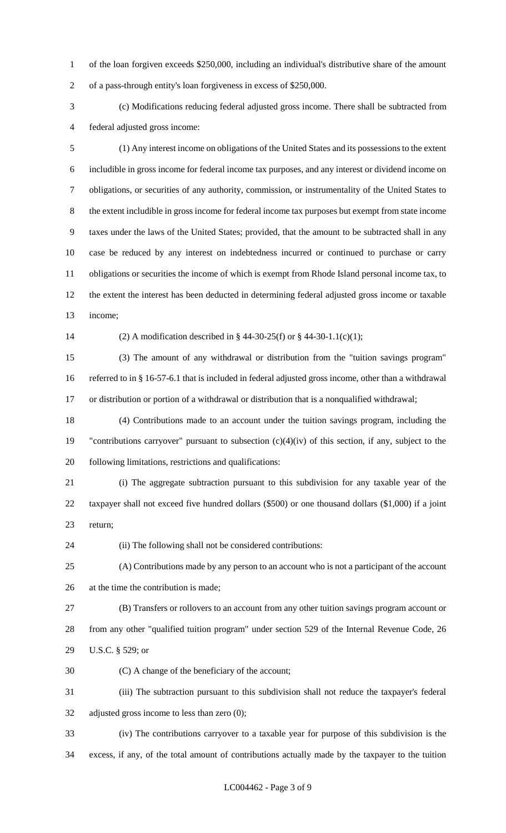of the loan forgiven exceeds \$250,000, including an individual's distributive share of the amount of a pass-through entity's loan forgiveness in excess of \$250,000.

 (c) Modifications reducing federal adjusted gross income. There shall be subtracted from federal adjusted gross income:

 (1) Any interest income on obligations of the United States and its possessions to the extent includible in gross income for federal income tax purposes, and any interest or dividend income on obligations, or securities of any authority, commission, or instrumentality of the United States to the extent includible in gross income for federal income tax purposes but exempt from state income taxes under the laws of the United States; provided, that the amount to be subtracted shall in any case be reduced by any interest on indebtedness incurred or continued to purchase or carry obligations or securities the income of which is exempt from Rhode Island personal income tax, to the extent the interest has been deducted in determining federal adjusted gross income or taxable income;

(2) A modification described in § 44-30-25(f) or § 44-30-1.1(c)(1);

 (3) The amount of any withdrawal or distribution from the "tuition savings program" referred to in § 16-57-6.1 that is included in federal adjusted gross income, other than a withdrawal or distribution or portion of a withdrawal or distribution that is a nonqualified withdrawal;

 (4) Contributions made to an account under the tuition savings program, including the "contributions carryover" pursuant to subsection (c)(4)(iv) of this section, if any, subject to the following limitations, restrictions and qualifications:

 (i) The aggregate subtraction pursuant to this subdivision for any taxable year of the taxpayer shall not exceed five hundred dollars (\$500) or one thousand dollars (\$1,000) if a joint return;

(ii) The following shall not be considered contributions:

 (A) Contributions made by any person to an account who is not a participant of the account at the time the contribution is made;

 (B) Transfers or rollovers to an account from any other tuition savings program account or from any other "qualified tuition program" under section 529 of the Internal Revenue Code, 26 U.S.C. § 529; or

(C) A change of the beneficiary of the account;

 (iii) The subtraction pursuant to this subdivision shall not reduce the taxpayer's federal adjusted gross income to less than zero (0);

 (iv) The contributions carryover to a taxable year for purpose of this subdivision is the excess, if any, of the total amount of contributions actually made by the taxpayer to the tuition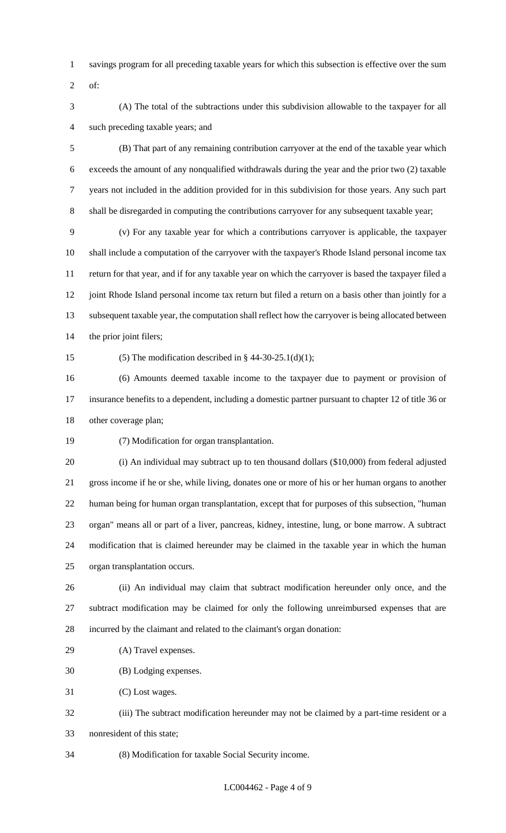- savings program for all preceding taxable years for which this subsection is effective over the sum
- of:
- (A) The total of the subtractions under this subdivision allowable to the taxpayer for all such preceding taxable years; and

 (B) That part of any remaining contribution carryover at the end of the taxable year which exceeds the amount of any nonqualified withdrawals during the year and the prior two (2) taxable years not included in the addition provided for in this subdivision for those years. Any such part shall be disregarded in computing the contributions carryover for any subsequent taxable year;

 (v) For any taxable year for which a contributions carryover is applicable, the taxpayer shall include a computation of the carryover with the taxpayer's Rhode Island personal income tax return for that year, and if for any taxable year on which the carryover is based the taxpayer filed a 12 joint Rhode Island personal income tax return but filed a return on a basis other than jointly for a subsequent taxable year, the computation shall reflect how the carryover is being allocated between the prior joint filers;

15 (5) The modification described in  $\S$  44-30-25.1(d)(1);

 (6) Amounts deemed taxable income to the taxpayer due to payment or provision of insurance benefits to a dependent, including a domestic partner pursuant to chapter 12 of title 36 or other coverage plan;

(7) Modification for organ transplantation.

 (i) An individual may subtract up to ten thousand dollars (\$10,000) from federal adjusted gross income if he or she, while living, donates one or more of his or her human organs to another human being for human organ transplantation, except that for purposes of this subsection, "human organ" means all or part of a liver, pancreas, kidney, intestine, lung, or bone marrow. A subtract modification that is claimed hereunder may be claimed in the taxable year in which the human organ transplantation occurs.

 (ii) An individual may claim that subtract modification hereunder only once, and the subtract modification may be claimed for only the following unreimbursed expenses that are incurred by the claimant and related to the claimant's organ donation:

(A) Travel expenses.

(B) Lodging expenses.

(C) Lost wages.

- (iii) The subtract modification hereunder may not be claimed by a part-time resident or a nonresident of this state;
- (8) Modification for taxable Social Security income.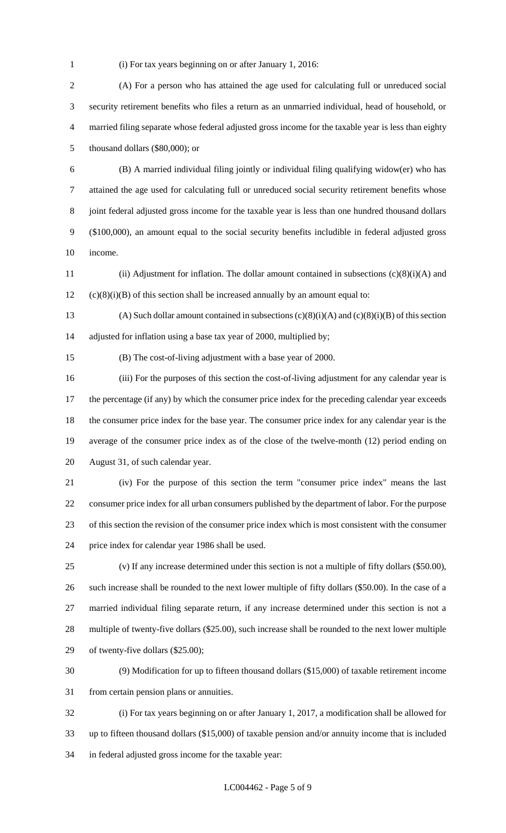(i) For tax years beginning on or after January 1, 2016:

 (A) For a person who has attained the age used for calculating full or unreduced social security retirement benefits who files a return as an unmarried individual, head of household, or married filing separate whose federal adjusted gross income for the taxable year is less than eighty thousand dollars (\$80,000); or

 (B) A married individual filing jointly or individual filing qualifying widow(er) who has attained the age used for calculating full or unreduced social security retirement benefits whose joint federal adjusted gross income for the taxable year is less than one hundred thousand dollars (\$100,000), an amount equal to the social security benefits includible in federal adjusted gross income.

 (ii) Adjustment for inflation. The dollar amount contained in subsections (c)(8)(i)(A) and (c)(8)(i)(B) of this section shall be increased annually by an amount equal to:

13 (A) Such dollar amount contained in subsections  $(c)(8)(i)(A)$  and  $(c)(8)(i)(B)$  of this section adjusted for inflation using a base tax year of 2000, multiplied by;

(B) The cost-of-living adjustment with a base year of 2000.

 (iii) For the purposes of this section the cost-of-living adjustment for any calendar year is 17 the percentage (if any) by which the consumer price index for the preceding calendar year exceeds the consumer price index for the base year. The consumer price index for any calendar year is the average of the consumer price index as of the close of the twelve-month (12) period ending on August 31, of such calendar year.

 (iv) For the purpose of this section the term "consumer price index" means the last consumer price index for all urban consumers published by the department of labor. For the purpose of this section the revision of the consumer price index which is most consistent with the consumer price index for calendar year 1986 shall be used.

 (v) If any increase determined under this section is not a multiple of fifty dollars (\$50.00), such increase shall be rounded to the next lower multiple of fifty dollars (\$50.00). In the case of a married individual filing separate return, if any increase determined under this section is not a multiple of twenty-five dollars (\$25.00), such increase shall be rounded to the next lower multiple of twenty-five dollars (\$25.00);

 (9) Modification for up to fifteen thousand dollars (\$15,000) of taxable retirement income from certain pension plans or annuities.

 (i) For tax years beginning on or after January 1, 2017, a modification shall be allowed for up to fifteen thousand dollars (\$15,000) of taxable pension and/or annuity income that is included in federal adjusted gross income for the taxable year: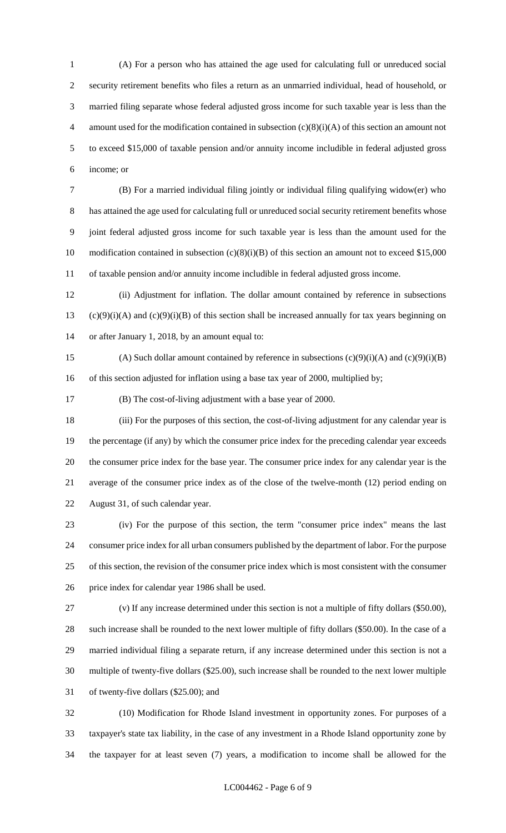(A) For a person who has attained the age used for calculating full or unreduced social security retirement benefits who files a return as an unmarried individual, head of household, or married filing separate whose federal adjusted gross income for such taxable year is less than the 4 amount used for the modification contained in subsection  $(c)(8)(i)(A)$  of this section an amount not to exceed \$15,000 of taxable pension and/or annuity income includible in federal adjusted gross income; or

 (B) For a married individual filing jointly or individual filing qualifying widow(er) who has attained the age used for calculating full or unreduced social security retirement benefits whose joint federal adjusted gross income for such taxable year is less than the amount used for the 10 modification contained in subsection (c)(8)(i)(B) of this section an amount not to exceed \$15,000 of taxable pension and/or annuity income includible in federal adjusted gross income.

 (ii) Adjustment for inflation. The dollar amount contained by reference in subsections 13 (c)(9)(i)(A) and (c)(9)(i)(B) of this section shall be increased annually for tax years beginning on or after January 1, 2018, by an amount equal to:

15 (A) Such dollar amount contained by reference in subsections  $(c)(9)(i)(A)$  and  $(c)(9)(i)(B)$ 16 of this section adjusted for inflation using a base tax year of 2000, multiplied by;

(B) The cost-of-living adjustment with a base year of 2000.

 (iii) For the purposes of this section, the cost-of-living adjustment for any calendar year is the percentage (if any) by which the consumer price index for the preceding calendar year exceeds the consumer price index for the base year. The consumer price index for any calendar year is the average of the consumer price index as of the close of the twelve-month (12) period ending on August 31, of such calendar year.

 (iv) For the purpose of this section, the term "consumer price index" means the last consumer price index for all urban consumers published by the department of labor. For the purpose of this section, the revision of the consumer price index which is most consistent with the consumer price index for calendar year 1986 shall be used.

 (v) If any increase determined under this section is not a multiple of fifty dollars (\$50.00), such increase shall be rounded to the next lower multiple of fifty dollars (\$50.00). In the case of a married individual filing a separate return, if any increase determined under this section is not a multiple of twenty-five dollars (\$25.00), such increase shall be rounded to the next lower multiple of twenty-five dollars (\$25.00); and

 (10) Modification for Rhode Island investment in opportunity zones. For purposes of a taxpayer's state tax liability, in the case of any investment in a Rhode Island opportunity zone by the taxpayer for at least seven (7) years, a modification to income shall be allowed for the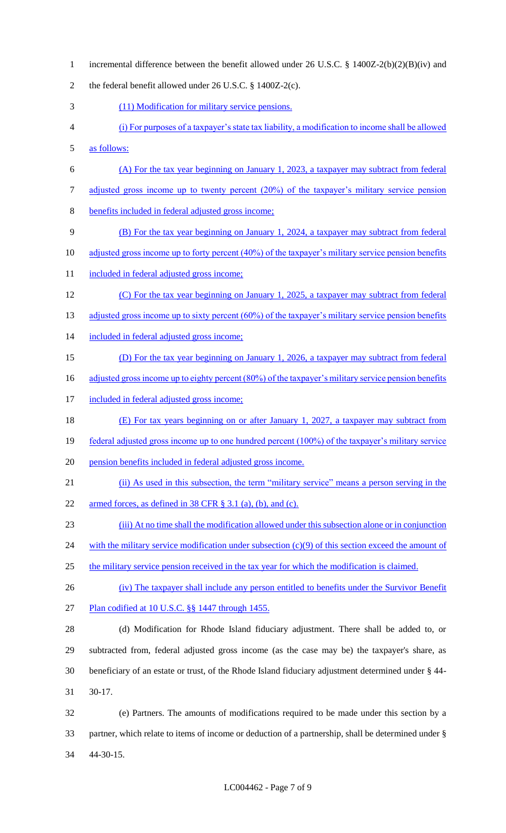1 incremental difference between the benefit allowed under 26 U.S.C. § 1400Z-2(b)(2)(B)(iv) and 2 the federal benefit allowed under 26 U.S.C. § 1400Z-2(c). 3 (11) Modification for military service pensions. 4 (i) For purposes of a taxpayer's state tax liability, a modification to income shall be allowed 5 as follows: 6 (A) For the tax year beginning on January 1, 2023, a taxpayer may subtract from federal 7 adjusted gross income up to twenty percent (20%) of the taxpayer's military service pension 8 benefits included in federal adjusted gross income; 9 (B) For the tax year beginning on January 1, 2024, a taxpayer may subtract from federal 10 adjusted gross income up to forty percent (40%) of the taxpayer's military service pension benefits 11 included in federal adjusted gross income; 12 (C) For the tax year beginning on January 1, 2025, a taxpayer may subtract from federal 13 adjusted gross income up to sixty percent (60%) of the taxpayer's military service pension benefits 14 included in federal adjusted gross income; 15 (D) For the tax year beginning on January 1, 2026, a taxpayer may subtract from federal 16 adjusted gross income up to eighty percent (80%) of the taxpayer's military service pension benefits 17 included in federal adjusted gross income; 18 (E) For tax years beginning on or after January 1, 2027, a taxpayer may subtract from 19 federal adjusted gross income up to one hundred percent (100%) of the taxpayer's military service 20 pension benefits included in federal adjusted gross income. 21 (ii) As used in this subsection, the term "military service" means a person serving in the 22 armed forces, as defined in 38 CFR § 3.1 (a), (b), and (c). 23 (iii) At no time shall the modification allowed under this subsection alone or in conjunction 24 with the military service modification under subsection (c)(9) of this section exceed the amount of 25 the military service pension received in the tax year for which the modification is claimed. 26 (iv) The taxpayer shall include any person entitled to benefits under the Survivor Benefit 27 Plan codified at 10 U.S.C. §§ 1447 through 1455. 28 (d) Modification for Rhode Island fiduciary adjustment. There shall be added to, or 29 subtracted from, federal adjusted gross income (as the case may be) the taxpayer's share, as 30 beneficiary of an estate or trust, of the Rhode Island fiduciary adjustment determined under § 44- 31 30-17. 32 (e) Partners. The amounts of modifications required to be made under this section by a 33 partner, which relate to items of income or deduction of a partnership, shall be determined under § 34 44-30-15.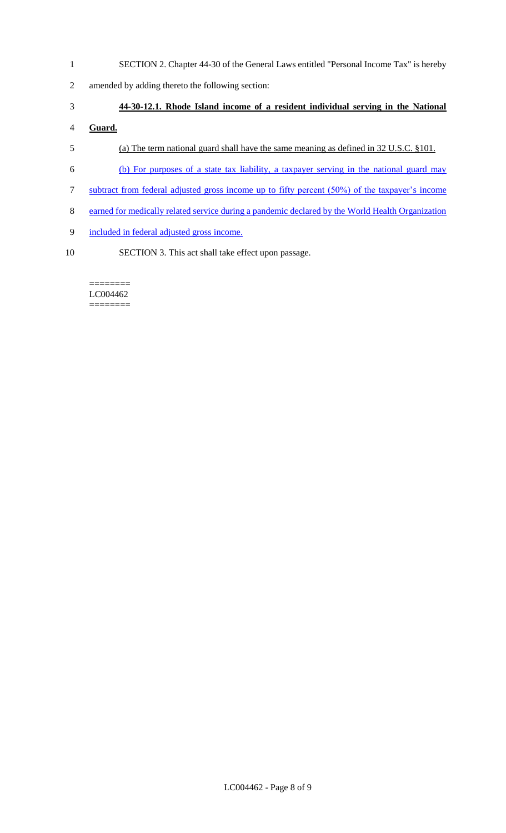- SECTION 2. Chapter 44-30 of the General Laws entitled "Personal Income Tax" is hereby
- amended by adding thereto the following section:

### **44-30-12.1. Rhode Island income of a resident individual serving in the National**

# **Guard.**

- (a) The term national guard shall have the same meaning as defined in 32 U.S.C. §101.
- (b) For purposes of a state tax liability, a taxpayer serving in the national guard may
- subtract from federal adjusted gross income up to fifty percent (50%) of the taxpayer's income
- earned for medically related service during a pandemic declared by the World Health Organization
- included in federal adjusted gross income.
- SECTION 3. This act shall take effect upon passage.

#### ======== LC004462 ========